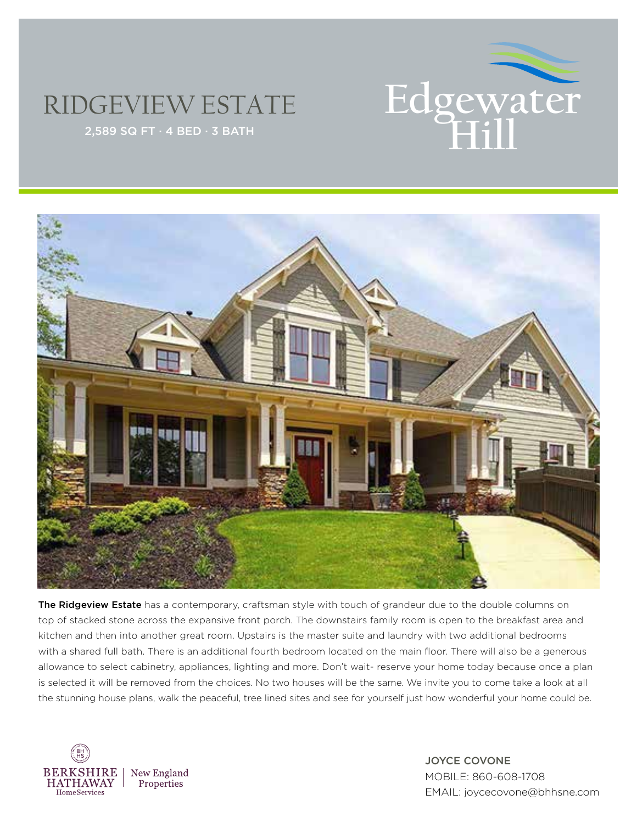## **EXTRACTE FOLOGEWATE**

## RIDGEVIEW ESTATE



The Ridgeview Estate has a contemporary, craftsman style with touch of grandeur due to the double columns on top of stacked stone across the expansive front porch. The downstairs family room is open to the breakfast area and kitchen and then into another great room. Upstairs is the master suite and laundry with two additional bedrooms with a shared full bath. There is an additional fourth bedroom located on the main floor. There will also be a generous allowance to select cabinetry, appliances, lighting and more. Don't wait- reserve your home today because once a plan is selected it will be removed from the choices. No two houses will be the same. We invite you to come take a look at all the stunning house plans, walk the peaceful, tree lined sites and see for yourself just how wonderful your home could be.



JOYCE COVONE MOBILE: 860-608-1708 EMAIL: joycecovone@bhhsne.com